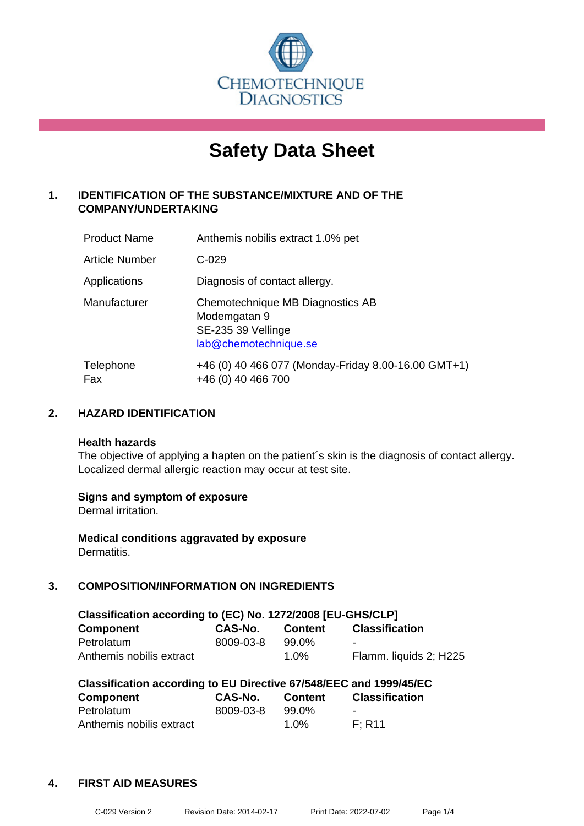

# **Safety Data Sheet**

# **1. IDENTIFICATION OF THE SUBSTANCE/MIXTURE AND OF THE COMPANY/UNDERTAKING**

| <b>Product Name</b>   | Anthemis nobilis extract 1.0% pet                                                               |
|-----------------------|-------------------------------------------------------------------------------------------------|
| <b>Article Number</b> | $C-029$                                                                                         |
| Applications          | Diagnosis of contact allergy.                                                                   |
| Manufacturer          | Chemotechnique MB Diagnostics AB<br>Modemgatan 9<br>SE-235 39 Vellinge<br>lab@chemotechnique.se |
| Telephone<br>Fax      | +46 (0) 40 466 077 (Monday-Friday 8.00-16.00 GMT+1)<br>+46 (0) 40 466 700                       |

# **2. HAZARD IDENTIFICATION**

#### **Health hazards**

The objective of applying a hapten on the patient's skin is the diagnosis of contact allergy. Localized dermal allergic reaction may occur at test site.

#### **Signs and symptom of exposure**

Dermal irritation.

**Medical conditions aggravated by exposure** Dermatitis.

# **3. COMPOSITION/INFORMATION ON INGREDIENTS**

| Classification according to (EC) No. 1272/2008 [EU-GHS/CLP] |           |                |                        |  |
|-------------------------------------------------------------|-----------|----------------|------------------------|--|
| <b>Component</b>                                            | CAS-No.   | <b>Content</b> | <b>Classification</b>  |  |
| Petrolatum                                                  | 8009-03-8 | 99.0%          | $\blacksquare$         |  |
| Anthemis nobilis extract                                    |           | $1.0\%$        | Flamm. liquids 2; H225 |  |

| Classification according to EU Directive 67/548/EEC and 1999/45/EC |                |                |                       |  |
|--------------------------------------------------------------------|----------------|----------------|-----------------------|--|
| Component                                                          | <b>CAS-No.</b> | <b>Content</b> | <b>Classification</b> |  |
| Petrolatum                                                         | 8009-03-8      | 99.0%          |                       |  |
| Anthemis nobilis extract                                           |                | $1.0\%$        | F: R11                |  |

# **4. FIRST AID MEASURES**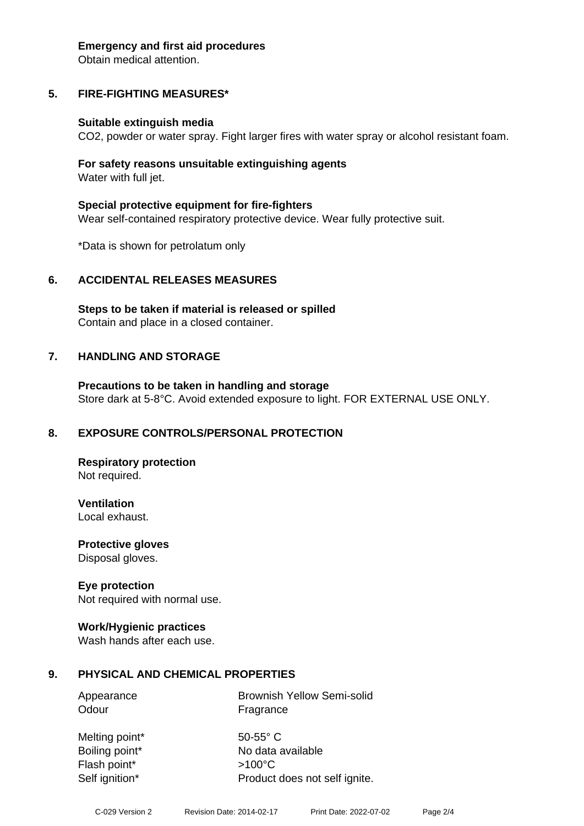#### **Emergency and first aid procedures**

Obtain medical attention.

# **5. FIRE-FIGHTING MEASURES\***

#### **Suitable extinguish media**

CO2, powder or water spray. Fight larger fires with water spray or alcohol resistant foam.

#### **For safety reasons unsuitable extinguishing agents** Water with full jet.

**Special protective equipment for fire-fighters** Wear self-contained respiratory protective device. Wear fully protective suit.

\*Data is shown for petrolatum only

#### **6. ACCIDENTAL RELEASES MEASURES**

**Steps to be taken if material is released or spilled** Contain and place in a closed container.

#### **7. HANDLING AND STORAGE**

**Precautions to be taken in handling and storage** Store dark at 5-8°C. Avoid extended exposure to light. FOR EXTERNAL USE ONLY.

#### **8. EXPOSURE CONTROLS/PERSONAL PROTECTION**

**Respiratory protection** Not required.

**Ventilation**

Local exhaust.

**Protective gloves** Disposal gloves.

#### **Eye protection**

Not required with normal use.

#### **Work/Hygienic practices**

Wash hands after each use.

#### **9. PHYSICAL AND CHEMICAL PROPERTIES**

| Appearance | <b>Brownish Yellow Semi-solid</b> |
|------------|-----------------------------------|
| Odour      | Fragrance                         |

Melting point\* 50-55° C Boiling point\* No data available Flash point\* >100°C Self ignition\* Product does not self ignite.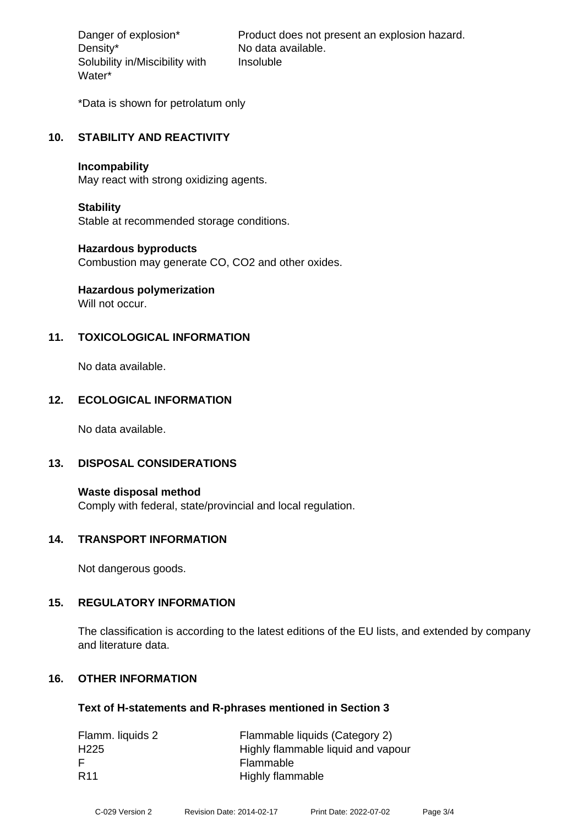Density\* No data available. Solubility in/Miscibility with Water\*

Danger of explosion\* Product does not present an explosion hazard. Insoluble

\*Data is shown for petrolatum only

#### **10. STABILITY AND REACTIVITY**

#### **Incompability**

May react with strong oxidizing agents.

#### **Stability**

Stable at recommended storage conditions.

#### **Hazardous byproducts**

Combustion may generate CO, CO2 and other oxides.

# **Hazardous polymerization**

Will not occur.

# **11. TOXICOLOGICAL INFORMATION**

No data available.

# **12. ECOLOGICAL INFORMATION**

No data available.

#### **13. DISPOSAL CONSIDERATIONS**

**Waste disposal method** Comply with federal, state/provincial and local regulation.

#### **14. TRANSPORT INFORMATION**

Not dangerous goods.

#### **15. REGULATORY INFORMATION**

The classification is according to the latest editions of the EU lists, and extended by company and literature data.

# **16. OTHER INFORMATION**

#### **Text of H-statements and R-phrases mentioned in Section 3**

| Flamm. liquids 2 | Flammable liquids (Category 2)     |
|------------------|------------------------------------|
| H <sub>225</sub> | Highly flammable liquid and vapour |
| E                | Flammable                          |
| <b>R11</b>       | Highly flammable                   |